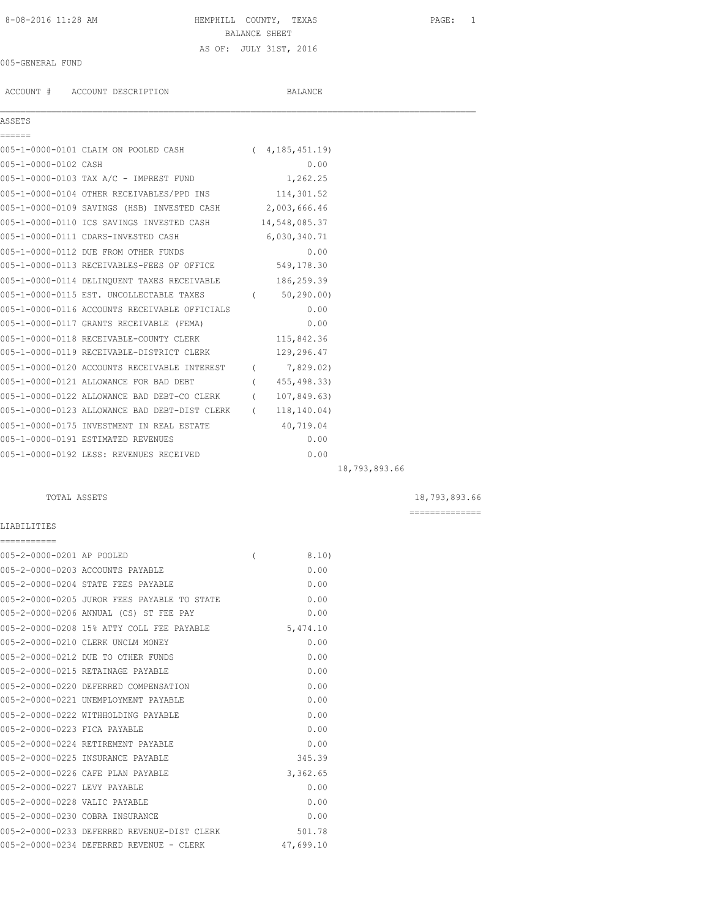## 8-08-2016 11:28 AM HEMPHILL COUNTY, TEXAS PAGE: 1 BALANCE SHEET AS OF: JULY 31ST, 2016

### 005-GENERAL FUND

ACCOUNT # ACCOUNT DESCRIPTION BALANCE

ASSET

| ASSETS |  |  |
|--------|--|--|
|        |  |  |

005-1-0000-0101 CLAIM ON POOLED CASH ( 4,185,451.19) 005-1-0000-0102 CASH 0.00 005-1-0000-0103 TAX A/C - IMPREST FUND 1,262.25

| 005-1-0000-0104 OTHER RECEIVABLES/PPD INS   | 114,301.52    |
|---------------------------------------------|---------------|
| 005-1-0000-0109 SAVINGS (HSB) INVESTED CASH | 2,003,666.46  |
| 005-1-0000-0110 ICS SAVINGS INVESTED CASH   | 14,548,085.37 |

| AAA I AAAA ATIA TAA AWATNGA TIMBATED AYAH I   |                  | 17, JTV, VUJ. J <i>I</i> |  |
|-----------------------------------------------|------------------|--------------------------|--|
| 005-1-0000-0111 CDARS-INVESTED CASH           |                  | 6,030,340.71             |  |
| 005-1-0000-0112 DUE FROM OTHER FUNDS          |                  | 0.00                     |  |
| 005-1-0000-0113 RECEIVABLES-FEES OF OFFICE    |                  | 549,178.30               |  |
| 005-1-0000-0114 DELINQUENT TAXES RECEIVABLE   |                  | 186,259.39               |  |
| 005-1-0000-0115 EST. UNCOLLECTABLE TAXES      | $\overline{(\ }$ | 50, 290, 00              |  |
| 005-1-0000-0116 ACCOUNTS RECEIVABLE OFFICIALS |                  | 0.00                     |  |
| 005-1-0000-0117 GRANTS RECEIVABLE (FEMA)      |                  | 0.00                     |  |
| 005-1-0000-0118 RECEIVABLE-COUNTY CLERK       |                  | 115,842.36               |  |
| 005-1-0000-0119 RECEIVABLE-DISTRICT CLERK     |                  | 129,296.47               |  |
| 005-1-0000-0120 ACCOUNTS RECEIVABLE INTEREST  |                  | 7,829.02)                |  |
| 005-1-0000-0121 ALLOWANCE FOR BAD DEBT        |                  | 455, 498.33)             |  |
| 005-1-0000-0122 ALLOWANCE BAD DEBT-CO CLERK   |                  | 107,849.63)              |  |
| 005-1-0000-0123 ALLOWANCE BAD DEBT-DIST CLERK |                  | 118, 140.04)             |  |
| 005-1-0000-0175 INVESTMENT IN REAL ESTATE     |                  | 40,719.04                |  |
| 005-1-0000-0191 ESTIMATED REVENUES            |                  | 0.00                     |  |
| 005-1-0000-0192 LESS: REVENUES RECEIVED       |                  | 0.00                     |  |

18,793,893.66

TOTAL ASSETS 18,793,893.66

LIABILITIES

| -----------                   |                                             |                |           |
|-------------------------------|---------------------------------------------|----------------|-----------|
| 005-2-0000-0201 AP POOLED     |                                             | $\overline{(}$ | 8.10)     |
|                               | 005-2-0000-0203 ACCOUNTS PAYABLE            |                | 0.00      |
|                               | 005-2-0000-0204 STATE FEES PAYABLE          |                | 0.00      |
|                               | 005-2-0000-0205 JUROR FEES PAYABLE TO STATE |                | 0.00      |
|                               | 005-2-0000-0206 ANNUAL (CS) ST FEE PAY      |                | 0.00      |
|                               | 005-2-0000-0208 15% ATTY COLL FEE PAYABLE   |                | 5,474.10  |
|                               | 005-2-0000-0210 CLERK UNCLM MONEY           |                | 0.00      |
|                               | 005-2-0000-0212 DUE TO OTHER FUNDS          |                | 0.00      |
|                               | 005-2-0000-0215 RETAINAGE PAYABLE           |                | 0.00      |
|                               | 005-2-0000-0220 DEFERRED COMPENSATION       |                | 0.00      |
|                               | 005-2-0000-0221 UNEMPLOYMENT PAYABLE        |                | 0.00      |
|                               | 005-2-0000-0222 WITHHOLDING PAYABLE         |                | 0.00      |
| 005-2-0000-0223 FICA PAYABLE  |                                             |                | 0.00      |
|                               | 005-2-0000-0224 RETIREMENT PAYABLE          |                | 0.00      |
|                               | 005-2-0000-0225 INSURANCE PAYABLE           |                | 345.39    |
|                               | 005-2-0000-0226 CAFE PLAN PAYABLE           |                | 3,362.65  |
| 005-2-0000-0227 LEVY PAYABLE  |                                             |                | 0.00      |
| 005-2-0000-0228 VALIC PAYABLE |                                             |                | 0.00      |
|                               | 005-2-0000-0230 COBRA INSURANCE             |                | 0.00      |
|                               | 005-2-0000-0233 DEFERRED REVENUE-DIST CLERK |                | 501.78    |
|                               | 005-2-0000-0234 DEFERRED REVENUE - CLERK    |                | 47,699.10 |

==============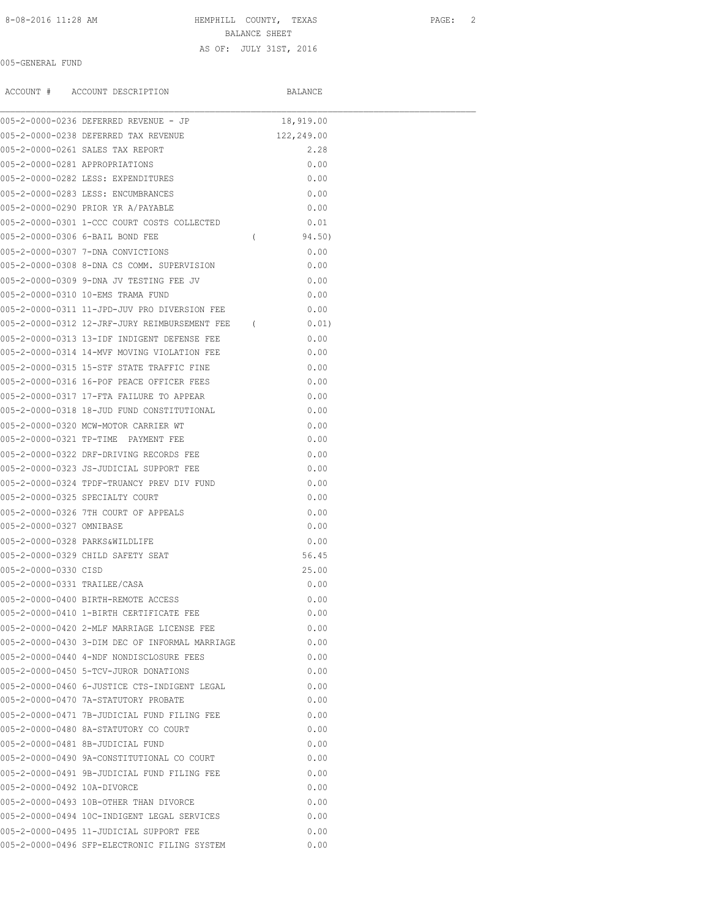# 8-08-2016 11:28 AM **HEMPHILL COUNTY, TEXAS** PAGE: 2

BALANCE SHEET AS OF: JULY 31ST, 2016

## 005-GENERAL FUND

|                                | ACCOUNT # ACCOUNT DESCRIPTION                   |            | BALANCE    |  |
|--------------------------------|-------------------------------------------------|------------|------------|--|
|                                | 005-2-0000-0236 DEFERRED REVENUE - JP           |            | 18,919.00  |  |
|                                | 005-2-0000-0238 DEFERRED TAX REVENUE            |            | 122,249.00 |  |
|                                | 005-2-0000-0261 SALES TAX REPORT                |            | 2.28       |  |
| 005-2-0000-0281 APPROPRIATIONS |                                                 |            | 0.00       |  |
|                                | 005-2-0000-0282 LESS: EXPENDITURES              |            | 0.00       |  |
|                                | 005-2-0000-0283 LESS: ENCUMBRANCES              |            | 0.00       |  |
|                                | 005-2-0000-0290 PRIOR YR A/PAYABLE              |            | 0.00       |  |
|                                | 005-2-0000-0301 1-CCC COURT COSTS COLLECTED     |            | 0.01       |  |
|                                | 005-2-0000-0306 6-BAIL BOND FEE                 | $\sqrt{2}$ | 94.50)     |  |
|                                | 005-2-0000-0307 7-DNA CONVICTIONS               |            | 0.00       |  |
|                                | 005-2-0000-0308 8-DNA CS COMM. SUPERVISION      |            | 0.00       |  |
|                                | 005-2-0000-0309 9-DNA JV TESTING FEE JV         |            | 0.00       |  |
|                                | 005-2-0000-0310 10-EMS TRAMA FUND               |            | 0.00       |  |
|                                | 005-2-0000-0311 11-JPD-JUV PRO DIVERSION FEE    |            | 0.00       |  |
|                                | 005-2-0000-0312 12-JRF-JURY REIMBURSEMENT FEE ( |            | 0.01)      |  |
|                                | 005-2-0000-0313 13-IDF INDIGENT DEFENSE FEE     |            | 0.00       |  |
|                                | 005-2-0000-0314 14-MVF MOVING VIOLATION FEE     |            | 0.00       |  |
|                                | 005-2-0000-0315 15-STF STATE TRAFFIC FINE       |            | 0.00       |  |
|                                | 005-2-0000-0316 16-POF PEACE OFFICER FEES       |            | 0.00       |  |
|                                | 005-2-0000-0317 17-FTA FAILURE TO APPEAR        |            | 0.00       |  |
|                                | 005-2-0000-0318 18-JUD FUND CONSTITUTIONAL      |            | 0.00       |  |
|                                | 005-2-0000-0320 MCW-MOTOR CARRIER WT            |            | 0.00       |  |
|                                | 005-2-0000-0321 TP-TIME PAYMENT FEE             |            | 0.00       |  |
|                                | 005-2-0000-0322 DRF-DRIVING RECORDS FEE         |            | 0.00       |  |
|                                | 005-2-0000-0323 JS-JUDICIAL SUPPORT FEE         |            | 0.00       |  |
|                                | 005-2-0000-0324 TPDF-TRUANCY PREV DIV FUND      |            | 0.00       |  |
|                                | 005-2-0000-0325 SPECIALTY COURT                 |            | 0.00       |  |
|                                | 005-2-0000-0326 7TH COURT OF APPEALS            |            | 0.00       |  |
| 005-2-0000-0327 OMNIBASE       |                                                 |            | 0.00       |  |
| 005-2-0000-0328 PARKS&WILDLIFE |                                                 |            | 0.00       |  |
|                                | 005-2-0000-0329 CHILD SAFETY SEAT               |            | 56.45      |  |
| 005-2-0000-0330 CISD           |                                                 |            | 25.00      |  |
| 005-2-0000-0331 TRAILEE/CASA   |                                                 |            | 0.00       |  |
|                                | 005-2-0000-0400 BIRTH-REMOTE ACCESS             |            | 0.00       |  |
|                                | 005-2-0000-0410 1-BIRTH CERTIFICATE FEE         |            | 0.00       |  |
|                                | 005-2-0000-0420 2-MLF MARRIAGE LICENSE FEE      |            | 0.00       |  |
|                                | 005-2-0000-0430 3-DIM DEC OF INFORMAL MARRIAGE  |            | 0.00       |  |
|                                | 005-2-0000-0440 4-NDF NONDISCLOSURE FEES        |            | 0.00       |  |
|                                | 005-2-0000-0450 5-TCV-JUROR DONATIONS           |            | 0.00       |  |
|                                | 005-2-0000-0460 6-JUSTICE CTS-INDIGENT LEGAL    |            | 0.00       |  |
|                                | 005-2-0000-0470 7A-STATUTORY PROBATE            |            | 0.00       |  |
|                                | 005-2-0000-0471 7B-JUDICIAL FUND FILING FEE     |            | 0.00       |  |
|                                | 005-2-0000-0480 8A-STATUTORY CO COURT           |            | 0.00       |  |
|                                | 005-2-0000-0481 8B-JUDICIAL FUND                |            | 0.00       |  |
|                                | 005-2-0000-0490 9A-CONSTITUTIONAL CO COURT      |            | 0.00       |  |
|                                | 005-2-0000-0491 9B-JUDICIAL FUND FILING FEE     |            | 0.00       |  |
| 005-2-0000-0492 10A-DIVORCE    |                                                 |            | 0.00       |  |
|                                | 005-2-0000-0493 10B-OTHER THAN DIVORCE          |            | 0.00       |  |
|                                | 005-2-0000-0494 10C-INDIGENT LEGAL SERVICES     |            | 0.00       |  |
|                                | 005-2-0000-0495 11-JUDICIAL SUPPORT FEE         |            | 0.00       |  |
|                                | 005-2-0000-0496 SFP-ELECTRONIC FILING SYSTEM    |            | 0.00       |  |
|                                |                                                 |            |            |  |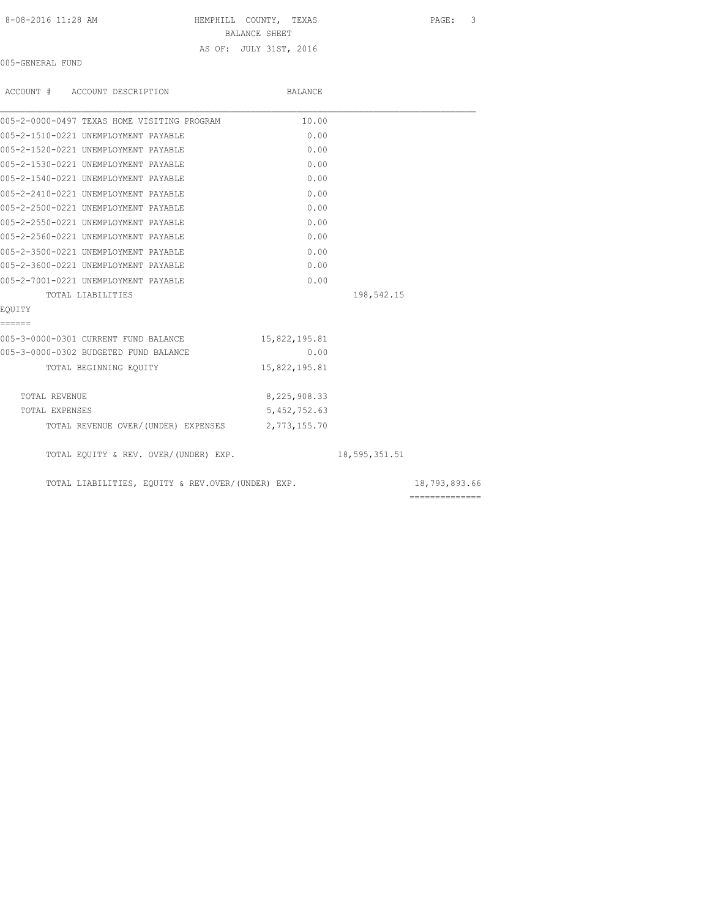| 8-08-2016 11:28 AM |  |
|--------------------|--|
|--------------------|--|

HEMPHILL COUNTY, TEXAS PAGE: 3

BALANCE SHEET

AS OF: JULY 31ST, 2016

005-GENERAL FUND

| ACCOUNT # ACCOUNT DESCRIPTION                     | BALANCE       |               |                |
|---------------------------------------------------|---------------|---------------|----------------|
| 005-2-0000-0497 TEXAS HOME VISITING PROGRAM       | 10.00         |               |                |
| 005-2-1510-0221 UNEMPLOYMENT PAYABLE              | 0.00          |               |                |
| 005-2-1520-0221 UNEMPLOYMENT PAYABLE              | 0.00          |               |                |
| 005-2-1530-0221 UNEMPLOYMENT PAYABLE              | 0.00          |               |                |
| 005-2-1540-0221 UNEMPLOYMENT PAYABLE              | 0.00          |               |                |
| 005-2-2410-0221 UNEMPLOYMENT PAYABLE              | 0.00          |               |                |
| 005-2-2500-0221 UNEMPLOYMENT PAYABLE              | 0.00          |               |                |
| 005-2-2550-0221 UNEMPLOYMENT PAYABLE              | 0.00          |               |                |
| 005-2-2560-0221 UNEMPLOYMENT PAYABLE              | 0.00          |               |                |
| 005-2-3500-0221 UNEMPLOYMENT PAYABLE              | 0.00          |               |                |
| 005-2-3600-0221 UNEMPLOYMENT PAYABLE              | 0.00          |               |                |
| 005-2-7001-0221 UNEMPLOYMENT PAYABLE              | 0.00          |               |                |
| TOTAL LIABILITIES                                 |               | 198,542.15    |                |
| EOUITY                                            |               |               |                |
| ======                                            |               |               |                |
| 005-3-0000-0301 CURRENT FUND BALANCE              | 15,822,195.81 |               |                |
| 005-3-0000-0302 BUDGETED FUND BALANCE             | 0.00          |               |                |
| TOTAL BEGINNING EOUITY                            | 15,822,195.81 |               |                |
| TOTAL REVENUE                                     | 8,225,908.33  |               |                |
| TOTAL EXPENSES                                    | 5,452,752.63  |               |                |
| TOTAL REVENUE OVER/(UNDER) EXPENSES 2,773,155.70  |               |               |                |
| TOTAL EQUITY & REV. OVER/(UNDER) EXP.             |               | 18,595,351.51 |                |
| TOTAL LIABILITIES, EQUITY & REV.OVER/(UNDER) EXP. |               |               | 18,793,893.66  |
|                                                   |               |               | ============== |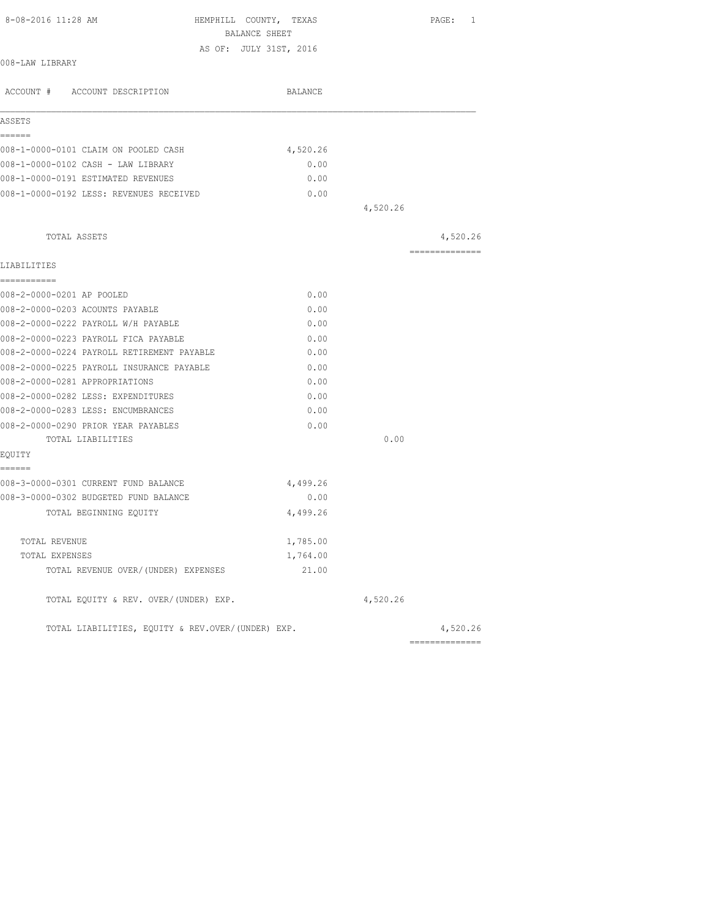| 8-08-2016 11:28 AM                                | HEMPHILL COUNTY, TEXAS<br>BALANCE SHEET |          | PAGE: 1        |
|---------------------------------------------------|-----------------------------------------|----------|----------------|
|                                                   | AS OF: JULY 31ST, 2016                  |          |                |
| 008-LAW LIBRARY                                   |                                         |          |                |
| ACCOUNT # ACCOUNT DESCRIPTION                     | BALANCE                                 |          |                |
| ASSETS                                            |                                         |          |                |
| ======<br>008-1-0000-0101 CLAIM ON POOLED CASH    | 4,520.26                                |          |                |
| 008-1-0000-0102 CASH - LAW LIBRARY                | 0.00                                    |          |                |
| 008-1-0000-0191 ESTIMATED REVENUES                | 0.00                                    |          |                |
| 008-1-0000-0192 LESS: REVENUES RECEIVED           | 0.00                                    |          |                |
|                                                   |                                         | 4,520.26 |                |
| TOTAL ASSETS                                      |                                         |          | 4,520.26       |
| LIABILITIES                                       |                                         |          | ============== |
| -----------                                       |                                         |          |                |
| 008-2-0000-0201 AP POOLED                         | 0.00                                    |          |                |
| 008-2-0000-0203 ACOUNTS PAYABLE                   | 0.00                                    |          |                |
| 008-2-0000-0222 PAYROLL W/H PAYABLE               | 0.00                                    |          |                |
| 008-2-0000-0223 PAYROLL FICA PAYABLE              | 0.00                                    |          |                |
| 008-2-0000-0224 PAYROLL RETIREMENT PAYABLE        | 0.00                                    |          |                |
| 008-2-0000-0225 PAYROLL INSURANCE PAYABLE         | 0.00                                    |          |                |
| 008-2-0000-0281 APPROPRIATIONS                    | 0.00                                    |          |                |
| 008-2-0000-0282 LESS: EXPENDITURES                | 0.00                                    |          |                |
| 008-2-0000-0283 LESS: ENCUMBRANCES                | 0.00                                    |          |                |
| 008-2-0000-0290 PRIOR YEAR PAYABLES               | 0.00                                    |          |                |
| TOTAL LIABILITIES                                 |                                         | 0.00     |                |
| EQUITY<br>======                                  |                                         |          |                |
| 008-3-0000-0301 CURRENT FUND BALANCE              | 4,499.26                                |          |                |
| 008-3-0000-0302 BUDGETED FUND BALANCE             | 0.00                                    |          |                |
| TOTAL BEGINNING EQUITY                            | 4,499.26                                |          |                |
| TOTAL REVENUE                                     | 1,785.00                                |          |                |
| TOTAL EXPENSES                                    | 1,764.00                                |          |                |
| TOTAL REVENUE OVER/ (UNDER) EXPENSES              | 21.00                                   |          |                |
| TOTAL EQUITY & REV. OVER/(UNDER) EXP.             |                                         | 4,520.26 |                |
| TOTAL LIABILITIES, EQUITY & REV.OVER/(UNDER) EXP. |                                         |          | 4,520.26       |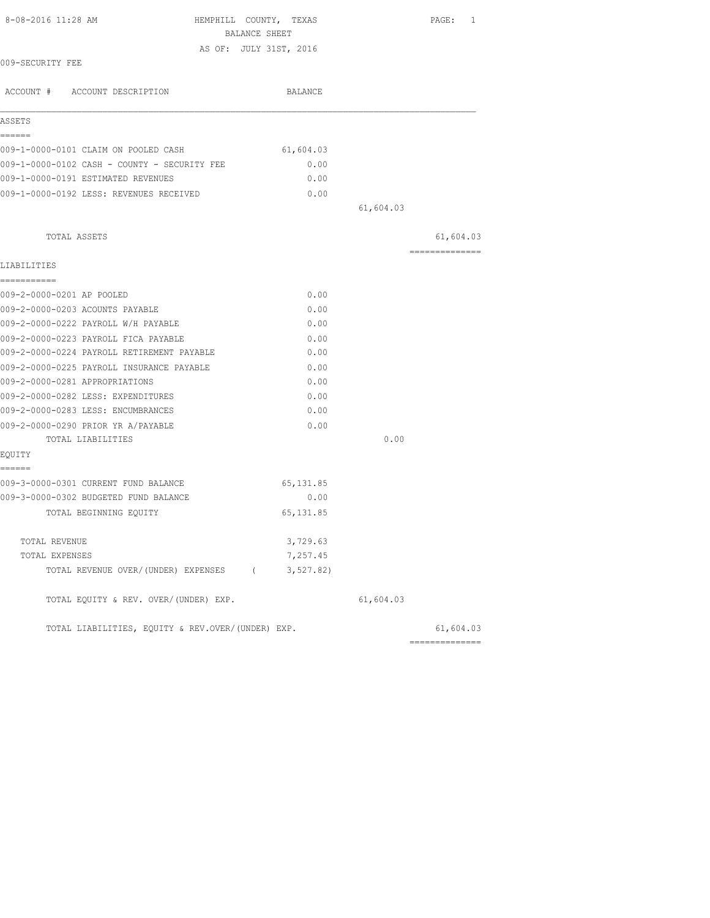| 8-08-2016 11:28 AM                                | HEMPHILL COUNTY, TEXAS<br>BALANCE SHEET |           | PAGE: 1        |
|---------------------------------------------------|-----------------------------------------|-----------|----------------|
|                                                   | AS OF: JULY 31ST, 2016                  |           |                |
| 009-SECURITY FEE                                  |                                         |           |                |
| ACCOUNT # ACCOUNT DESCRIPTION                     | BALANCE                                 |           |                |
| ASSETS                                            |                                         |           |                |
| ------<br>009-1-0000-0101 CLAIM ON POOLED CASH    | 61,604.03                               |           |                |
| 009-1-0000-0102 CASH - COUNTY - SECURITY FEE      | 0.00                                    |           |                |
| 009-1-0000-0191 ESTIMATED REVENUES                | 0.00                                    |           |                |
| 009-1-0000-0192 LESS: REVENUES RECEIVED           | 0.00                                    |           |                |
|                                                   |                                         | 61,604.03 |                |
|                                                   |                                         |           |                |
| TOTAL ASSETS                                      |                                         |           | 61,604.03      |
| LIABILITIES                                       |                                         |           | -------------- |
| ===========                                       |                                         |           |                |
| 009-2-0000-0201 AP POOLED                         | 0.00                                    |           |                |
| 009-2-0000-0203 ACOUNTS PAYABLE                   | 0.00                                    |           |                |
| 009-2-0000-0222 PAYROLL W/H PAYABLE               | 0.00                                    |           |                |
| 009-2-0000-0223 PAYROLL FICA PAYABLE              | 0.00                                    |           |                |
| 009-2-0000-0224 PAYROLL RETIREMENT PAYABLE        | 0.00                                    |           |                |
| 009-2-0000-0225 PAYROLL INSURANCE PAYABLE         | 0.00                                    |           |                |
| 009-2-0000-0281 APPROPRIATIONS                    | 0.00                                    |           |                |
| 009-2-0000-0282 LESS: EXPENDITURES                | 0.00                                    |           |                |
| 009-2-0000-0283 LESS: ENCUMBRANCES                | 0.00                                    |           |                |
| 009-2-0000-0290 PRIOR YR A/PAYABLE                | 0.00                                    |           |                |
| TOTAL LIABILITIES                                 |                                         | 0.00      |                |
| EQUITY<br>======                                  |                                         |           |                |
| 009-3-0000-0301 CURRENT FUND BALANCE              | 65, 131.85                              |           |                |
| 009-3-0000-0302 BUDGETED FUND BALANCE             | 0.00                                    |           |                |
| TOTAL BEGINNING EOUITY                            | 65, 131.85                              |           |                |
| TOTAL REVENUE                                     | 3,729.63                                |           |                |
| TOTAL EXPENSES                                    | 7,257.45                                |           |                |
| TOTAL REVENUE OVER/(UNDER) EXPENSES (             | 3, 527.82)                              |           |                |
| TOTAL EQUITY & REV. OVER/(UNDER) EXP.             |                                         | 61,604.03 |                |
| TOTAL LIABILITIES, EQUITY & REV.OVER/(UNDER) EXP. |                                         |           | 61,604.03      |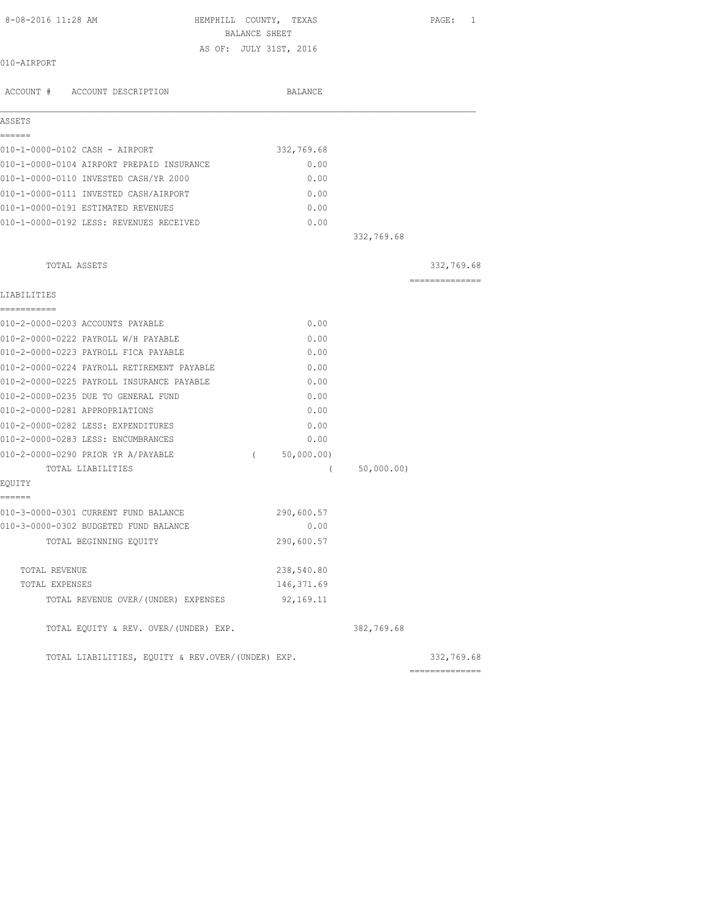| 8-08-2016 11:28 AM                                | HEMPHILL COUNTY, TEXAS |            | PAGE:<br>1      |
|---------------------------------------------------|------------------------|------------|-----------------|
|                                                   | BALANCE SHEET          |            |                 |
| 010-AIRPORT                                       | AS OF: JULY 31ST, 2016 |            |                 |
|                                                   |                        |            |                 |
| ACCOUNT # ACCOUNT DESCRIPTION                     | BALANCE                |            |                 |
|                                                   |                        |            |                 |
| ASSETS                                            |                        |            |                 |
| ======                                            |                        |            |                 |
| 010-1-0000-0102 CASH - AIRPORT                    | 332,769.68             |            |                 |
| 010-1-0000-0104 AIRPORT PREPAID INSURANCE         | 0.00                   |            |                 |
| 010-1-0000-0110 INVESTED CASH/YR 2000             | 0.00                   |            |                 |
| 010-1-0000-0111 INVESTED CASH/AIRPORT             | 0.00                   |            |                 |
| 010-1-0000-0191 ESTIMATED REVENUES                | 0.00                   |            |                 |
| 010-1-0000-0192 LESS: REVENUES RECEIVED           | 0.00                   |            |                 |
|                                                   |                        | 332,769.68 |                 |
|                                                   |                        |            |                 |
| TOTAL ASSETS                                      |                        |            | 332,769.68      |
|                                                   |                        |            | ==============  |
| LIABILITIES                                       |                        |            |                 |
| -----------                                       |                        |            |                 |
| 010-2-0000-0203 ACCOUNTS PAYABLE                  | 0.00                   |            |                 |
| 010-2-0000-0222 PAYROLL W/H PAYABLE               | 0.00                   |            |                 |
| 010-2-0000-0223 PAYROLL FICA PAYABLE              | 0.00                   |            |                 |
| 010-2-0000-0224 PAYROLL RETIREMENT PAYABLE        | 0.00                   |            |                 |
| 010-2-0000-0225 PAYROLL INSURANCE PAYABLE         | 0.00                   |            |                 |
| 010-2-0000-0235 DUE TO GENERAL FUND               | 0.00                   |            |                 |
| 010-2-0000-0281 APPROPRIATIONS                    | 0.00                   |            |                 |
| 010-2-0000-0282 LESS: EXPENDITURES                | 0.00                   |            |                 |
| 010-2-0000-0283 LESS: ENCUMBRANCES                | 0.00                   |            |                 |
| 010-2-0000-0290 PRIOR YR A/PAYABLE                | 50,000.00)<br>$\left($ |            |                 |
| TOTAL LIABILITIES                                 | - (                    | 50,000.00) |                 |
| EOUITY                                            |                        |            |                 |
| ======                                            |                        |            |                 |
| 010-3-0000-0301 CURRENT FUND BALANCE              | 290,600.57             |            |                 |
| 010-3-0000-0302 BUDGETED FUND BALANCE             | 0.00                   |            |                 |
| TOTAL BEGINNING EQUITY                            | 290,600.57             |            |                 |
|                                                   |                        |            |                 |
| TOTAL REVENUE                                     | 238,540.80             |            |                 |
| TOTAL EXPENSES                                    | 146, 371.69            |            |                 |
| TOTAL REVENUE OVER/(UNDER) EXPENSES               | 92,169.11              |            |                 |
| TOTAL EQUITY & REV. OVER/(UNDER) EXP.             |                        | 382,769.68 |                 |
| TOTAL LIABILITIES, EQUITY & REV.OVER/(UNDER) EXP. |                        |            | 332,769.68      |
|                                                   |                        |            | --------------- |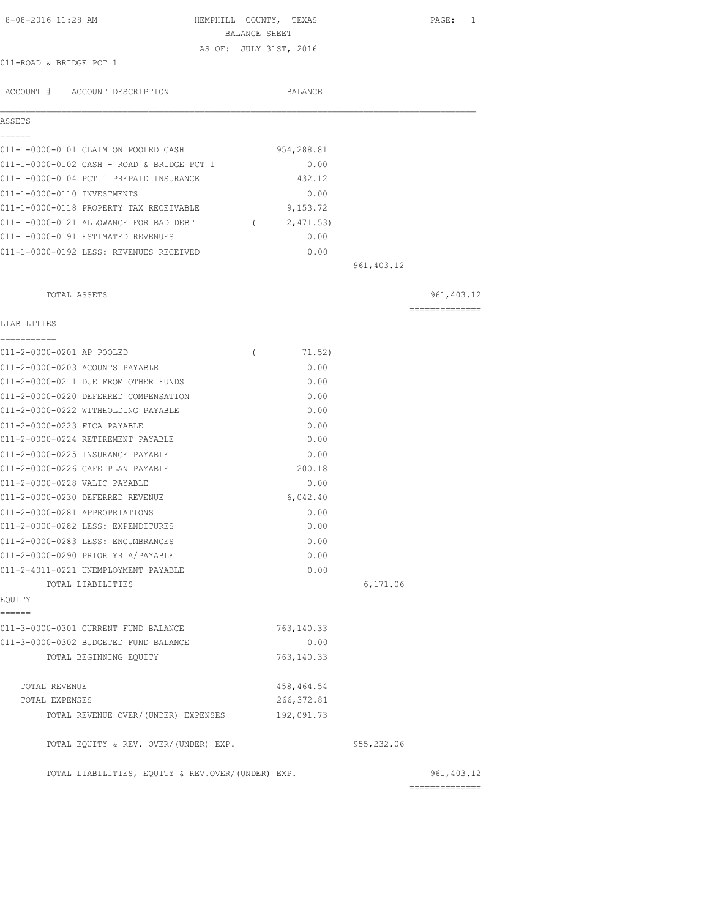| 8-08-2016 11:28 AM<br>HEMPHILL COUNTY, TEXAS<br>BALANCE SHEET                        | PAGE:<br>1                     |
|--------------------------------------------------------------------------------------|--------------------------------|
| AS OF: JULY 31ST, 2016                                                               |                                |
| 011-ROAD & BRIDGE PCT 1                                                              |                                |
| ACCOUNT # ACCOUNT DESCRIPTION<br>BALANCE                                             |                                |
| ASSETS                                                                               |                                |
| ======                                                                               |                                |
| 954,288.81<br>011-1-0000-0101 CLAIM ON POOLED CASH                                   |                                |
| 011-1-0000-0102 CASH - ROAD & BRIDGE PCT 1<br>0.00                                   |                                |
| 011-1-0000-0104 PCT 1 PREPAID INSURANCE<br>432.12                                    |                                |
| 011-1-0000-0110 INVESTMENTS<br>0.00                                                  |                                |
| 011-1-0000-0118 PROPERTY TAX RECEIVABLE<br>9,153.72                                  |                                |
| 011-1-0000-0121 ALLOWANCE FOR BAD DEBT (2,471.53)                                    |                                |
| 011-1-0000-0191 ESTIMATED REVENUES<br>0.00                                           |                                |
| 011-1-0000-0192 LESS: REVENUES RECEIVED<br>0.00                                      |                                |
| 961, 403.12                                                                          |                                |
| TOTAL ASSETS                                                                         | 961, 403.12                    |
| LIABILITIES                                                                          | --------------                 |
| -----------                                                                          |                                |
| 011-2-0000-0201 AP POOLED<br>71.52)<br>$\left($                                      |                                |
| 011-2-0000-0203 ACOUNTS PAYABLE<br>0.00                                              |                                |
| 011-2-0000-0211 DUE FROM OTHER FUNDS<br>0.00                                         |                                |
| 011-2-0000-0220 DEFERRED COMPENSATION<br>0.00                                        |                                |
| 011-2-0000-0222 WITHHOLDING PAYABLE<br>0.00                                          |                                |
| 011-2-0000-0223 FICA PAYABLE<br>0.00                                                 |                                |
| 011-2-0000-0224 RETIREMENT PAYABLE<br>0.00                                           |                                |
| 011-2-0000-0225 INSURANCE PAYABLE<br>0.00                                            |                                |
| 011-2-0000-0226 CAFE PLAN PAYABLE<br>200.18                                          |                                |
| 011-2-0000-0228 VALIC PAYABLE<br>0.00                                                |                                |
| 011-2-0000-0230 DEFERRED REVENUE<br>6,042.40                                         |                                |
| 011-2-0000-0281 APPROPRIATIONS<br>0.00<br>011-2-0000-0282 LESS: EXPENDITURES<br>0.00 |                                |
| 011-2-0000-0283 LESS: ENCUMBRANCES<br>0.00                                           |                                |
| 011-2-0000-0290 PRIOR YR A/PAYABLE<br>0.00                                           |                                |
| 0.00<br>011-2-4011-0221 UNEMPLOYMENT PAYABLE                                         |                                |
| TOTAL LIABILITIES                                                                    | 6,171.06                       |
| EQUITY                                                                               |                                |
| ------<br>011-3-0000-0301 CURRENT FUND BALANCE<br>763,140.33                         |                                |
| 011-3-0000-0302 BUDGETED FUND BALANCE<br>0.00                                        |                                |
| 763, 140.33<br>TOTAL BEGINNING EOUITY                                                |                                |
|                                                                                      |                                |
| 458, 464.54<br>TOTAL REVENUE                                                         |                                |
| 266, 372.81<br>TOTAL EXPENSES                                                        |                                |
| TOTAL REVENUE OVER/(UNDER) EXPENSES<br>192,091.73                                    |                                |
| TOTAL EQUITY & REV. OVER/(UNDER) EXP.<br>955,232.06                                  |                                |
| TOTAL LIABILITIES, EQUITY & REV.OVER/(UNDER) EXP.                                    | 961, 403.12<br>--------------- |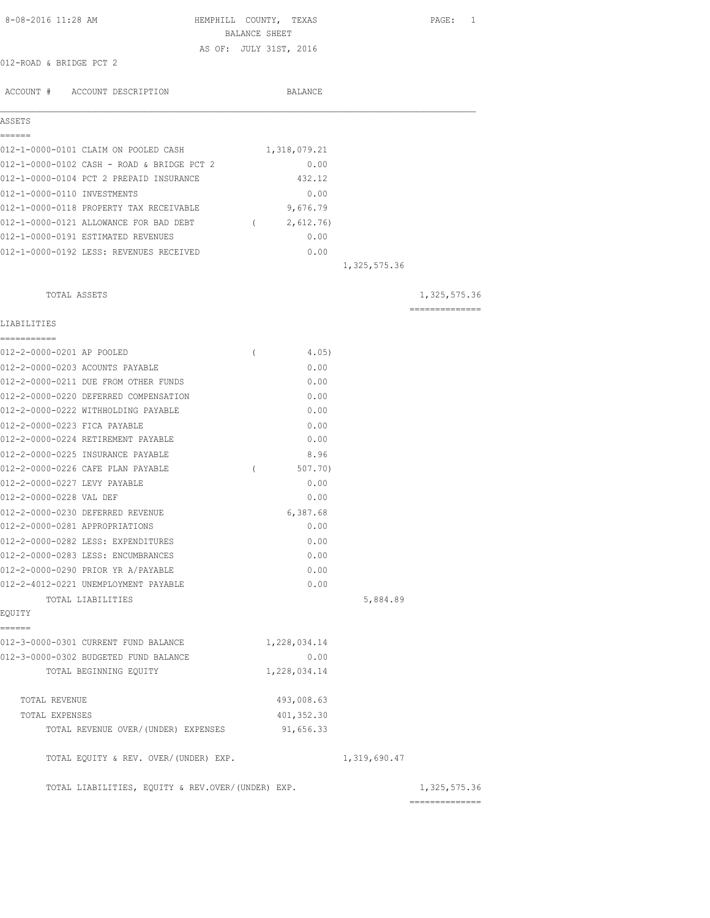| 8-08-2016 11:28 AM                                                   | HEMPHILL COUNTY, TEXAS<br>BALANCE SHEET |                  |              | PAGE: 1         |
|----------------------------------------------------------------------|-----------------------------------------|------------------|--------------|-----------------|
|                                                                      | AS OF: JULY 31ST, 2016                  |                  |              |                 |
| 012-ROAD & BRIDGE PCT 2                                              |                                         |                  |              |                 |
|                                                                      |                                         |                  |              |                 |
| ACCOUNT # ACCOUNT DESCRIPTION                                        |                                         | BALANCE          |              |                 |
| ASSETS                                                               |                                         |                  |              |                 |
| ======                                                               |                                         |                  |              |                 |
| 012-1-0000-0101 CLAIM ON POOLED CASH                                 |                                         | 1,318,079.21     |              |                 |
| 012-1-0000-0102 CASH - ROAD & BRIDGE PCT 2                           |                                         | 0.00             |              |                 |
| 012-1-0000-0104 PCT 2 PREPAID INSURANCE                              |                                         | 432.12           |              |                 |
| 012-1-0000-0110 INVESTMENTS                                          |                                         | 0.00             |              |                 |
| 012-1-0000-0118 PROPERTY TAX RECEIVABLE                              |                                         | 9,676.79         |              |                 |
| 012-1-0000-0121 ALLOWANCE FOR BAD DEBT                               |                                         | (2, 612.76)      |              |                 |
| 012-1-0000-0191 ESTIMATED REVENUES                                   |                                         | 0.00             |              |                 |
| 012-1-0000-0192 LESS: REVENUES RECEIVED                              |                                         | 0.00             |              |                 |
|                                                                      |                                         |                  | 1,325,575.36 |                 |
| TOTAL ASSETS                                                         |                                         |                  |              | 1,325,575.36    |
| LIABILITIES                                                          |                                         |                  |              | --------------- |
| ===========                                                          |                                         |                  |              |                 |
| 012-2-0000-0201 AP POOLED                                            | $\left($                                | 4.05)            |              |                 |
| 012-2-0000-0203 ACOUNTS PAYABLE                                      |                                         | 0.00             |              |                 |
| 012-2-0000-0211 DUE FROM OTHER FUNDS                                 |                                         | 0.00             |              |                 |
| 012-2-0000-0220 DEFERRED COMPENSATION                                |                                         | 0.00             |              |                 |
| 012-2-0000-0222 WITHHOLDING PAYABLE                                  |                                         | 0.00             |              |                 |
| 012-2-0000-0223 FICA PAYABLE                                         |                                         | 0.00             |              |                 |
| 012-2-0000-0224 RETIREMENT PAYABLE                                   |                                         | 0.00             |              |                 |
| 012-2-0000-0225 INSURANCE PAYABLE                                    |                                         | 8.96             |              |                 |
| 012-2-0000-0226 CAFE PLAN PAYABLE                                    | $\left($                                | 507.70)          |              |                 |
| 012-2-0000-0227 LEVY PAYABLE                                         |                                         | 0.00             |              |                 |
| 012-2-0000-0228 VAL DEF                                              |                                         | 0.00             |              |                 |
| 012-2-0000-0230 DEFERRED REVENUE                                     |                                         | 6,387.68<br>0.00 |              |                 |
| 012-2-0000-0281 APPROPRIATIONS<br>012-2-0000-0282 LESS: EXPENDITURES |                                         |                  |              |                 |
| 012-2-0000-0283 LESS: ENCUMBRANCES                                   |                                         | 0.00<br>0.00     |              |                 |
| 012-2-0000-0290 PRIOR YR A/PAYABLE                                   |                                         | 0.00             |              |                 |
| 012-2-4012-0221 UNEMPLOYMENT PAYABLE                                 |                                         | 0.00             |              |                 |
| TOTAL LIABILITIES                                                    |                                         |                  | 5,884.89     |                 |
| EQUITY                                                               |                                         |                  |              |                 |
| ======                                                               |                                         |                  |              |                 |
| 012-3-0000-0301 CURRENT FUND BALANCE                                 |                                         | 1,228,034.14     |              |                 |
| 012-3-0000-0302 BUDGETED FUND BALANCE                                |                                         | 0.00             |              |                 |
| TOTAL BEGINNING EQUITY                                               |                                         | 1,228,034.14     |              |                 |
| TOTAL REVENUE                                                        |                                         | 493,008.63       |              |                 |
| TOTAL EXPENSES                                                       |                                         | 401,352.30       |              |                 |
| TOTAL REVENUE OVER/(UNDER) EXPENSES                                  |                                         | 91,656.33        |              |                 |
| TOTAL EQUITY & REV. OVER/(UNDER) EXP.                                |                                         |                  | 1,319,690.47 |                 |
| TOTAL LIABILITIES, EQUITY & REV.OVER/(UNDER) EXP.                    |                                         |                  |              | 1,325,575.36    |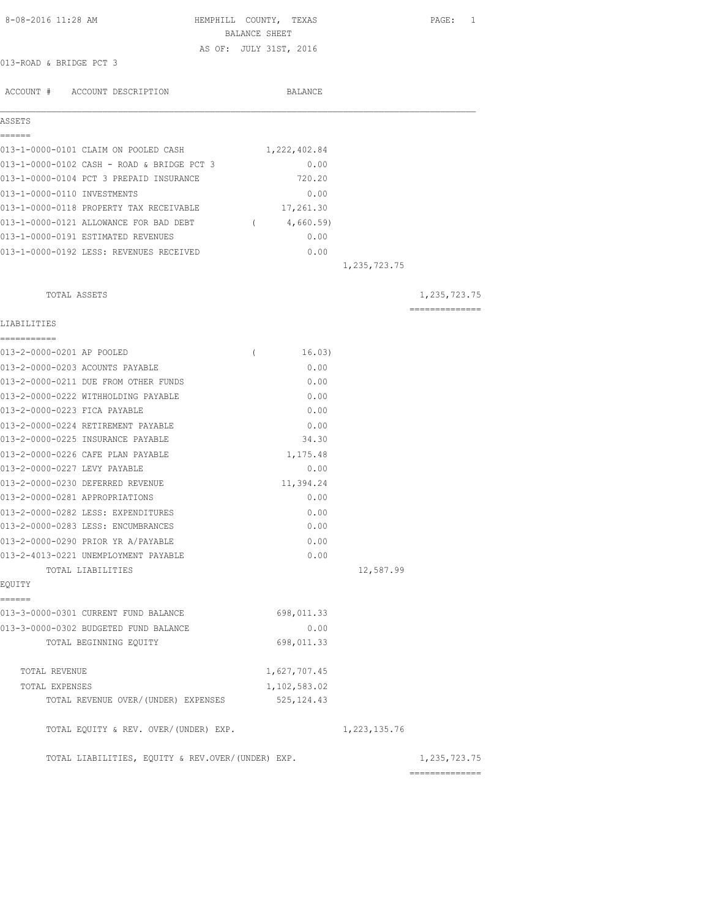| 8-08-2016 11:28 AM                                                       |               | HEMPHILL COUNTY, TEXAS |                 | PAGE: 1        |
|--------------------------------------------------------------------------|---------------|------------------------|-----------------|----------------|
|                                                                          | BALANCE SHEET |                        |                 |                |
| 013-ROAD & BRIDGE PCT 3                                                  |               | AS OF: JULY 31ST, 2016 |                 |                |
|                                                                          |               |                        |                 |                |
| ACCOUNT # ACCOUNT DESCRIPTION                                            |               | BALANCE                |                 |                |
| ASSETS                                                                   |               |                        |                 |                |
| EEEEEE<br>013-1-0000-0101 CLAIM ON POOLED CASH                           |               | 1,222,402.84           |                 |                |
| 013-1-0000-0102 CASH - ROAD & BRIDGE PCT 3                               |               |                        |                 |                |
| 013-1-0000-0104 PCT 3 PREPAID INSURANCE                                  |               | 0.00<br>720.20         |                 |                |
| 013-1-0000-0110 INVESTMENTS                                              |               | 0.00                   |                 |                |
| 013-1-0000-0118 PROPERTY TAX RECEIVABLE                                  |               | 17,261.30              |                 |                |
|                                                                          |               |                        |                 |                |
| 013-1-0000-0121 ALLOWANCE FOR BAD DEBT (4,660.59)                        |               |                        |                 |                |
| 013-1-0000-0191 ESTIMATED REVENUES                                       |               | 0.00                   |                 |                |
| 013-1-0000-0192 LESS: REVENUES RECEIVED                                  |               | 0.00                   | 1, 235, 723. 75 |                |
| TOTAL ASSETS                                                             |               |                        |                 | 1,235,723.75   |
|                                                                          |               |                        |                 | ============== |
| LIABILITIES                                                              |               |                        |                 |                |
| ===========<br>013-2-0000-0201 AP POOLED                                 | $\left($      | 16.03)                 |                 |                |
|                                                                          |               |                        |                 |                |
| 013-2-0000-0203 ACOUNTS PAYABLE<br>013-2-0000-0211 DUE FROM OTHER FUNDS  |               | 0.00<br>0.00           |                 |                |
|                                                                          |               |                        |                 |                |
| 013-2-0000-0222 WITHHOLDING PAYABLE<br>013-2-0000-0223 FICA PAYABLE      |               | 0.00<br>0.00           |                 |                |
|                                                                          |               |                        |                 |                |
| 013-2-0000-0224 RETIREMENT PAYABLE<br>013-2-0000-0225 INSURANCE PAYABLE  |               | 0.00<br>34.30          |                 |                |
| 013-2-0000-0226 CAFE PLAN PAYABLE                                        |               | 1,175.48               |                 |                |
| 013-2-0000-0227 LEVY PAYABLE                                             |               | 0.00                   |                 |                |
|                                                                          |               |                        |                 |                |
| 013-2-0000-0230 DEFERRED REVENUE<br>013-2-0000-0281 APPROPRIATIONS       |               | 11,394.24<br>0.00      |                 |                |
|                                                                          |               |                        |                 |                |
| 013-2-0000-0282 LESS: EXPENDITURES<br>013-2-0000-0283 LESS: ENCUMBRANCES |               | 0.00<br>0.00           |                 |                |
| 013-2-0000-0290 PRIOR YR A/PAYABLE                                       |               |                        |                 |                |
| 013-2-4013-0221 UNEMPLOYMENT PAYABLE                                     |               | 0.00<br>0.00           |                 |                |
| TOTAL LIABILITIES                                                        |               |                        | 12,587.99       |                |
| EQUITY                                                                   |               |                        |                 |                |
| ======                                                                   |               |                        |                 |                |
| 013-3-0000-0301 CURRENT FUND BALANCE                                     |               | 698,011.33             |                 |                |
| 013-3-0000-0302 BUDGETED FUND BALANCE                                    |               | 0.00                   |                 |                |
| TOTAL BEGINNING EQUITY                                                   |               | 698,011.33             |                 |                |
| TOTAL REVENUE                                                            |               | 1,627,707.45           |                 |                |
| TOTAL EXPENSES                                                           |               | 1,102,583.02           |                 |                |
| TOTAL REVENUE OVER/(UNDER) EXPENSES                                      |               | 525, 124.43            |                 |                |
| TOTAL EQUITY & REV. OVER/(UNDER) EXP.                                    |               |                        | 1, 223, 135.76  |                |
| TOTAL LIABILITIES, EQUITY & REV.OVER/(UNDER) EXP.                        |               |                        |                 | 1,235,723.75   |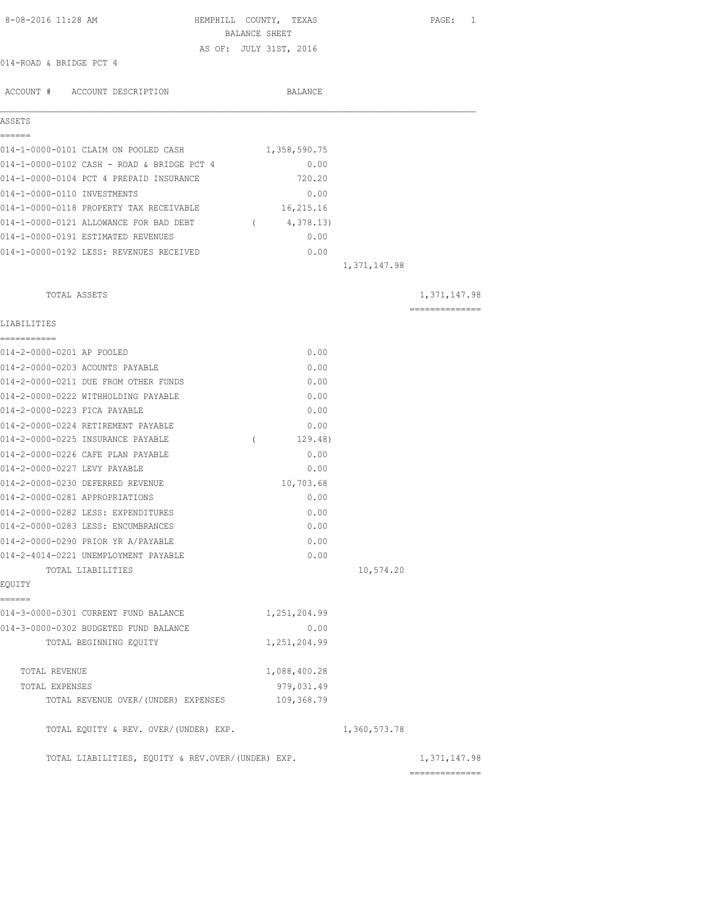| 8-08-2016 11:28 AM                                |               | HEMPHILL COUNTY, TEXAS |              | PAGE: 1        |
|---------------------------------------------------|---------------|------------------------|--------------|----------------|
|                                                   | BALANCE SHEET | AS OF: JULY 31ST, 2016 |              |                |
| 014-ROAD & BRIDGE PCT 4                           |               |                        |              |                |
|                                                   |               |                        |              |                |
| ACCOUNT # ACCOUNT DESCRIPTION                     |               | BALANCE                |              |                |
| ASSETS                                            |               |                        |              |                |
| ======                                            |               |                        |              |                |
| 014-1-0000-0101 CLAIM ON POOLED CASH              |               | 1,358,590.75           |              |                |
| 014-1-0000-0102 CASH - ROAD & BRIDGE PCT 4        |               | 0.00                   |              |                |
| 014-1-0000-0104 PCT 4 PREPAID INSURANCE           |               | 720.20                 |              |                |
| 014-1-0000-0110 INVESTMENTS                       |               | 0.00                   |              |                |
| 014-1-0000-0118 PROPERTY TAX RECEIVABLE           |               | 16,215.16              |              |                |
| 014-1-0000-0121 ALLOWANCE FOR BAD DEBT            |               | (4, 378.13)            |              |                |
| 014-1-0000-0191 ESTIMATED REVENUES                |               | 0.00                   |              |                |
| 014-1-0000-0192 LESS: REVENUES RECEIVED           |               | 0.00                   | 1,371,147.98 |                |
| TOTAL ASSETS                                      |               |                        |              | 1,371,147.98   |
|                                                   |               |                        |              | ============== |
| LIABILITIES<br>===========                        |               |                        |              |                |
| 014-2-0000-0201 AP POOLED                         |               | 0.00                   |              |                |
| 014-2-0000-0203 ACOUNTS PAYABLE                   |               | 0.00                   |              |                |
| 014-2-0000-0211 DUE FROM OTHER FUNDS              |               | 0.00                   |              |                |
| 014-2-0000-0222 WITHHOLDING PAYABLE               |               | 0.00                   |              |                |
| 014-2-0000-0223 FICA PAYABLE                      |               | 0.00                   |              |                |
| 014-2-0000-0224 RETIREMENT PAYABLE                |               | 0.00                   |              |                |
| 014-2-0000-0225 INSURANCE PAYABLE                 | $\left($      | 129.48)                |              |                |
| 014-2-0000-0226 CAFE PLAN PAYABLE                 |               | 0.00                   |              |                |
| 014-2-0000-0227 LEVY PAYABLE                      |               | 0.00                   |              |                |
| 014-2-0000-0230 DEFERRED REVENUE                  |               | 10,703.68              |              |                |
| 014-2-0000-0281 APPROPRIATIONS                    |               | 0.00                   |              |                |
| 014-2-0000-0282 LESS: EXPENDITURES                |               | 0.00                   |              |                |
| 014-2-0000-0283 LESS: ENCUMBRANCES                |               | 0.00                   |              |                |
| 014-2-0000-0290 PRIOR YR A/PAYABLE                |               | 0.00                   |              |                |
| 014-2-4014-0221 UNEMPLOYMENT PAYABLE              |               | 0.00                   |              |                |
| TOTAL LIABILITIES                                 |               |                        | 10,574.20    |                |
| EQUITY                                            |               |                        |              |                |
| ======<br>014-3-0000-0301 CURRENT FUND BALANCE    |               | 1,251,204.99           |              |                |
| 014-3-0000-0302 BUDGETED FUND BALANCE             |               | 0.00                   |              |                |
| TOTAL BEGINNING EQUITY                            |               | 1,251,204.99           |              |                |
| TOTAL REVENUE                                     |               | 1,088,400.28           |              |                |
| TOTAL EXPENSES                                    |               | 979,031.49             |              |                |
| TOTAL REVENUE OVER/(UNDER) EXPENSES               |               | 109,368.79             |              |                |
| TOTAL EQUITY & REV. OVER/(UNDER) EXP.             |               |                        | 1,360,573.78 |                |
| TOTAL LIABILITIES, EQUITY & REV.OVER/(UNDER) EXP. |               |                        |              | 1,371,147.98   |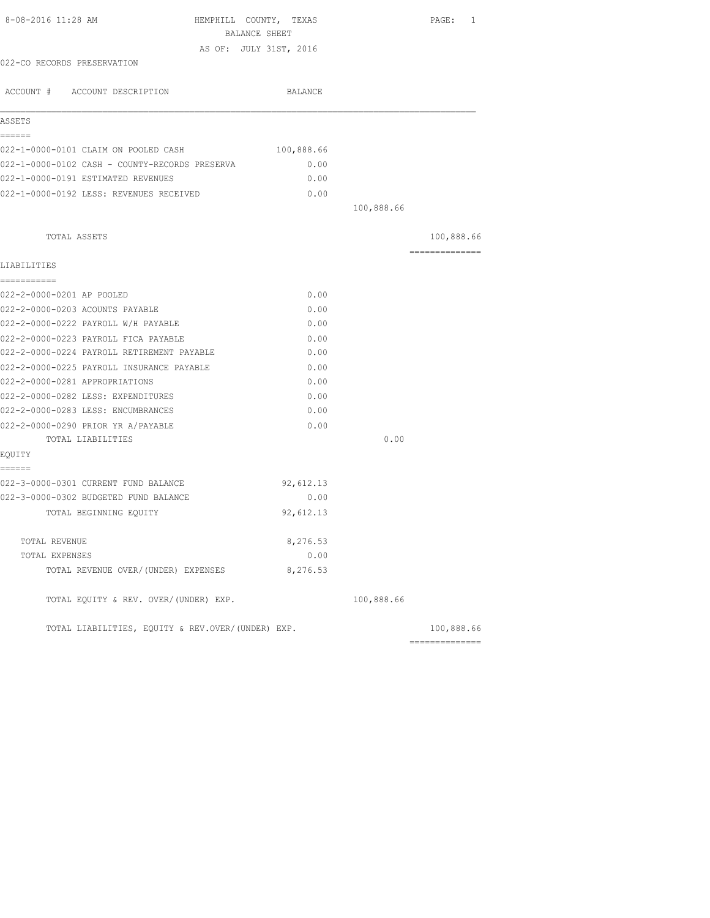| 8-08-2016 11:28 AM<br>HEMPHILL COUNTY, TEXAS      | BALANCE SHEET |            | PAGE: 1        |
|---------------------------------------------------|---------------|------------|----------------|
| AS OF: JULY 31ST, 2016                            |               |            |                |
| 022-CO RECORDS PRESERVATION                       |               |            |                |
| ACCOUNT # ACCOUNT DESCRIPTION                     | BALANCE       |            |                |
| ASSETS                                            |               |            |                |
| ======<br>022-1-0000-0101 CLAIM ON POOLED CASH    |               |            |                |
|                                                   | 100,888.66    |            |                |
| 022-1-0000-0102 CASH - COUNTY-RECORDS PRESERVA    | 0.00<br>0.00  |            |                |
| 022-1-0000-0191 ESTIMATED REVENUES                |               |            |                |
| 022-1-0000-0192 LESS: REVENUES RECEIVED           | 0.00          | 100,888.66 |                |
|                                                   |               |            |                |
| TOTAL ASSETS                                      |               |            | 100,888.66     |
| LIABILITIES                                       |               |            | -------------- |
| -----------                                       |               |            |                |
| 022-2-0000-0201 AP POOLED                         | 0.00          |            |                |
| 022-2-0000-0203 ACOUNTS PAYABLE                   | 0.00          |            |                |
| 022-2-0000-0222 PAYROLL W/H PAYABLE               | 0.00          |            |                |
| 022-2-0000-0223 PAYROLL FICA PAYABLE              | 0.00          |            |                |
| 022-2-0000-0224 PAYROLL RETIREMENT PAYABLE        | 0.00          |            |                |
| 022-2-0000-0225 PAYROLL INSURANCE PAYABLE         | 0.00          |            |                |
| 022-2-0000-0281 APPROPRIATIONS                    | 0.00          |            |                |
| 022-2-0000-0282 LESS: EXPENDITURES                | 0.00          |            |                |
| 022-2-0000-0283 LESS: ENCUMBRANCES                | 0.00          |            |                |
| 022-2-0000-0290 PRIOR YR A/PAYABLE                | 0.00          |            |                |
| TOTAL LIABILITIES                                 |               | 0.00       |                |
| EQUITY<br>======                                  |               |            |                |
| 022-3-0000-0301 CURRENT FUND BALANCE              | 92,612.13     |            |                |
| 022-3-0000-0302 BUDGETED FUND BALANCE             | 0.00          |            |                |
| TOTAL BEGINNING EQUITY                            | 92,612.13     |            |                |
| TOTAL REVENUE                                     | 8,276.53      |            |                |
| TOTAL EXPENSES                                    | 0.00          |            |                |
| TOTAL REVENUE OVER/(UNDER) EXPENSES               | 8,276.53      |            |                |
| TOTAL EQUITY & REV. OVER/(UNDER) EXP.             |               | 100,888.66 |                |
| TOTAL LIABILITIES, EQUITY & REV.OVER/(UNDER) EXP. |               |            | 100,888.66     |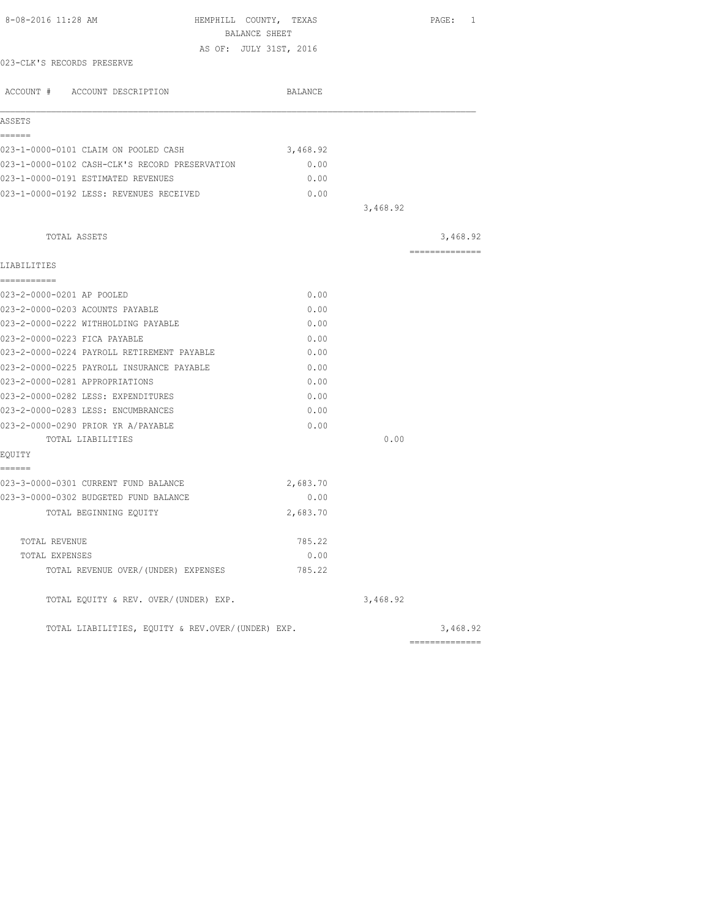| 8-08-2016 11:28 AM                                | HEMPHILL COUNTY, TEXAS<br>BALANCE SHEET |          | PAGE: 1        |
|---------------------------------------------------|-----------------------------------------|----------|----------------|
|                                                   | AS OF: JULY 31ST, 2016                  |          |                |
| 023-CLK'S RECORDS PRESERVE                        |                                         |          |                |
| ACCOUNT # ACCOUNT DESCRIPTION                     | BALANCE                                 |          |                |
| ASSETS                                            |                                         |          |                |
| ------                                            |                                         |          |                |
| 023-1-0000-0101 CLAIM ON POOLED CASH              | 3,468.92                                |          |                |
| 023-1-0000-0102 CASH-CLK'S RECORD PRESERVATION    | 0.00                                    |          |                |
| 023-1-0000-0191 ESTIMATED REVENUES                | 0.00                                    |          |                |
| 023-1-0000-0192 LESS: REVENUES RECEIVED           | 0.00                                    |          |                |
|                                                   |                                         | 3,468.92 |                |
| TOTAL ASSETS                                      |                                         |          | 3,468.92       |
|                                                   |                                         |          | ============== |
| LIABILITIES                                       |                                         |          |                |
| -----------                                       |                                         |          |                |
| 023-2-0000-0201 AP POOLED                         | 0.00                                    |          |                |
| 023-2-0000-0203 ACOUNTS PAYABLE                   | 0.00                                    |          |                |
| 023-2-0000-0222 WITHHOLDING PAYABLE               | 0.00                                    |          |                |
| 023-2-0000-0223 FICA PAYABLE                      | 0.00                                    |          |                |
| 023-2-0000-0224 PAYROLL RETIREMENT PAYABLE        | 0.00                                    |          |                |
| 023-2-0000-0225 PAYROLL INSURANCE PAYABLE         | 0.00                                    |          |                |
| 023-2-0000-0281 APPROPRIATIONS                    | 0.00                                    |          |                |
| 023-2-0000-0282 LESS: EXPENDITURES                | 0.00                                    |          |                |
| 023-2-0000-0283 LESS: ENCUMBRANCES                | 0.00                                    |          |                |
| 023-2-0000-0290 PRIOR YR A/PAYABLE                | 0.00                                    |          |                |
| TOTAL LIABILITIES                                 |                                         | 0.00     |                |
| EQUITY                                            |                                         |          |                |
| ======                                            |                                         |          |                |
| 023-3-0000-0301 CURRENT FUND BALANCE              | 2,683.70                                |          |                |
| 023-3-0000-0302 BUDGETED FUND BALANCE             | 0.00                                    |          |                |
| TOTAL BEGINNING EQUITY                            | 2,683.70                                |          |                |
| TOTAL REVENUE                                     | 785.22                                  |          |                |
| TOTAL EXPENSES                                    | 0.00                                    |          |                |
| TOTAL REVENUE OVER/(UNDER) EXPENSES               | 785.22                                  |          |                |
| TOTAL EQUITY & REV. OVER/(UNDER) EXP.             |                                         | 3,468.92 |                |
| TOTAL LIABILITIES, EOUITY & REV.OVER/(UNDER) EXP. |                                         |          | 3,468.92       |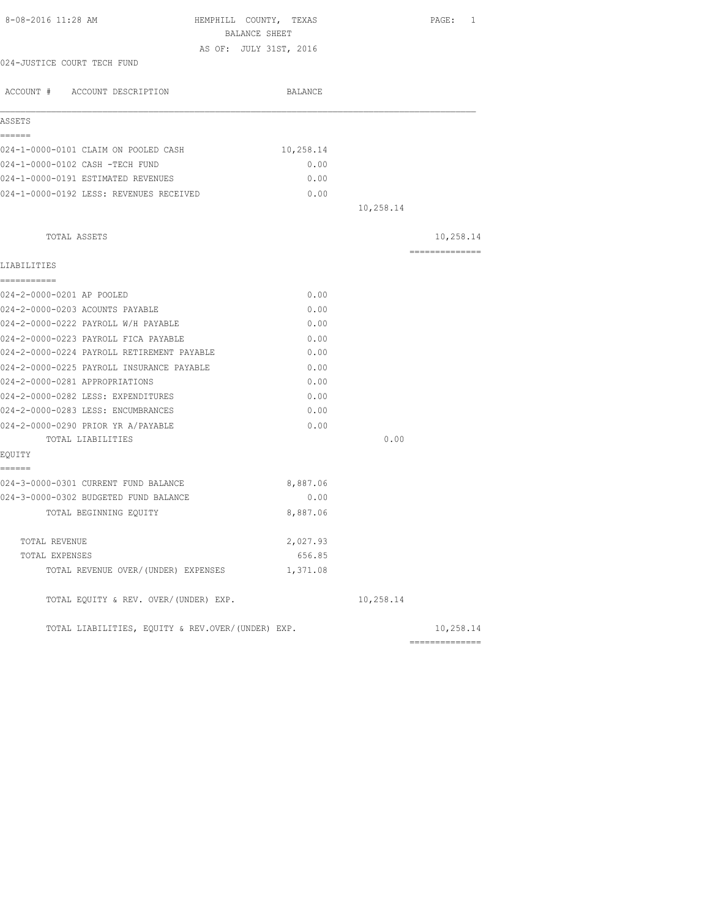| 8-08-2016 11:28 AM                                | HEMPHILL COUNTY, TEXAS<br>BALANCE SHEET |           | PAGE: 1        |
|---------------------------------------------------|-----------------------------------------|-----------|----------------|
|                                                   | AS OF: JULY 31ST, 2016                  |           |                |
| 024-JUSTICE COURT TECH FUND                       |                                         |           |                |
| ACCOUNT # ACCOUNT DESCRIPTION                     | BALANCE                                 |           |                |
| ASSETS                                            |                                         |           |                |
| ------                                            |                                         |           |                |
| 024-1-0000-0101 CLAIM ON POOLED CASH              | 10,258.14                               |           |                |
| 024-1-0000-0102 CASH -TECH FUND                   | 0.00                                    |           |                |
| 024-1-0000-0191 ESTIMATED REVENUES                | 0.00                                    |           |                |
| 024-1-0000-0192 LESS: REVENUES RECEIVED           | 0.00                                    |           |                |
|                                                   |                                         | 10,258.14 |                |
| TOTAL ASSETS                                      |                                         |           | 10,258.14      |
|                                                   |                                         |           | ============== |
| LIABILITIES<br>===========                        |                                         |           |                |
| 024-2-0000-0201 AP POOLED                         | 0.00                                    |           |                |
| 024-2-0000-0203 ACOUNTS PAYABLE                   | 0.00                                    |           |                |
| 024-2-0000-0222 PAYROLL W/H PAYABLE               | 0.00                                    |           |                |
| 024-2-0000-0223 PAYROLL FICA PAYABLE              | 0.00                                    |           |                |
| 024-2-0000-0224 PAYROLL RETIREMENT PAYABLE        | 0.00                                    |           |                |
| 024-2-0000-0225 PAYROLL INSURANCE PAYABLE         | 0.00                                    |           |                |
| 024-2-0000-0281 APPROPRIATIONS                    | 0.00                                    |           |                |
| 024-2-0000-0282 LESS: EXPENDITURES                | 0.00                                    |           |                |
| 024-2-0000-0283 LESS: ENCUMBRANCES                | 0.00                                    |           |                |
| 024-2-0000-0290 PRIOR YR A/PAYABLE                | 0.00                                    |           |                |
| TOTAL LIABILITIES                                 |                                         | 0.00      |                |
| EQUITY                                            |                                         |           |                |
| ------                                            |                                         |           |                |
| 024-3-0000-0301 CURRENT FUND BALANCE              | 8,887.06                                |           |                |
| 024-3-0000-0302 BUDGETED FUND BALANCE             | 0.00                                    |           |                |
| TOTAL BEGINNING EOUITY                            | 8,887.06                                |           |                |
| TOTAL REVENUE                                     | 2,027.93                                |           |                |
| TOTAL EXPENSES                                    | 656.85                                  |           |                |
| TOTAL REVENUE OVER/(UNDER) EXPENSES               | 1,371.08                                |           |                |
| TOTAL EQUITY & REV. OVER/(UNDER) EXP.             |                                         | 10,258.14 |                |
| TOTAL LIABILITIES, EQUITY & REV.OVER/(UNDER) EXP. |                                         |           | 10,258.14      |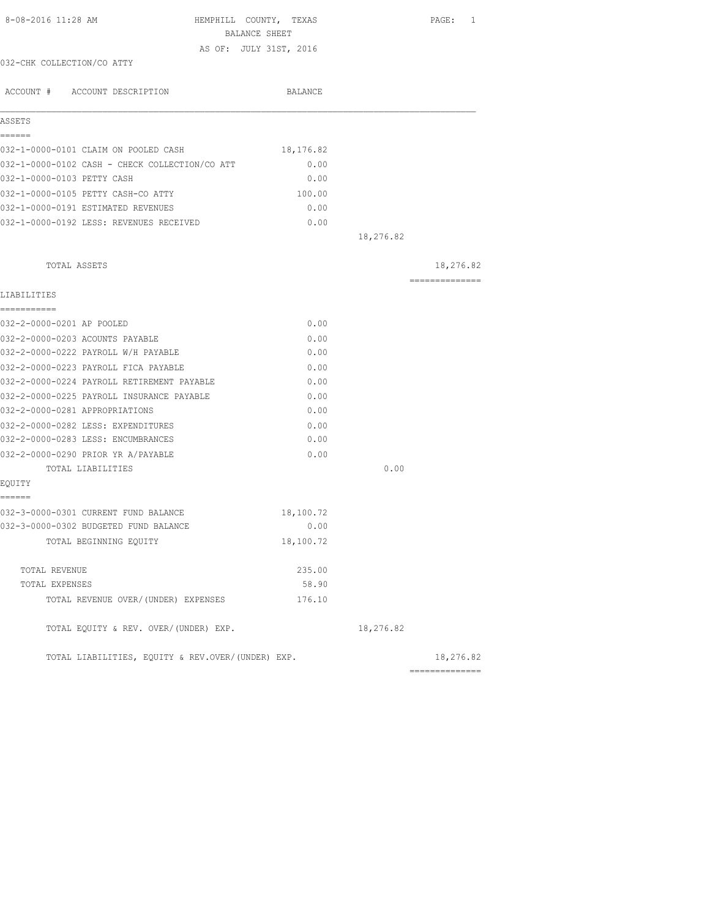| 8-08-2016 11:28 AM<br>HEMPHILL COUNTY, TEXAS<br>BALANCE SHEET |                        |           | PAGE: 1        |
|---------------------------------------------------------------|------------------------|-----------|----------------|
|                                                               | AS OF: JULY 31ST, 2016 |           |                |
| 032-CHK COLLECTION/CO ATTY                                    |                        |           |                |
| ACCOUNT # ACCOUNT DESCRIPTION                                 | BALANCE                |           |                |
| ASSETS                                                        |                        |           |                |
| ======<br>032-1-0000-0101 CLAIM ON POOLED CASH                | 18,176.82              |           |                |
| 032-1-0000-0102 CASH - CHECK COLLECTION/CO ATT                | 0.00                   |           |                |
| 032-1-0000-0103 PETTY CASH                                    | 0.00                   |           |                |
| 032-1-0000-0105 PETTY CASH-CO ATTY                            | 100.00                 |           |                |
| 032-1-0000-0191 ESTIMATED REVENUES                            | 0.00                   |           |                |
| 032-1-0000-0192 LESS: REVENUES RECEIVED                       | 0.00                   |           |                |
|                                                               |                        | 18,276.82 |                |
| TOTAL ASSETS                                                  |                        |           | 18,276.82      |
|                                                               |                        |           | ============== |
| LIABILITIES<br>===========                                    |                        |           |                |
| 032-2-0000-0201 AP POOLED                                     | 0.00                   |           |                |
| 032-2-0000-0203 ACOUNTS PAYABLE                               | 0.00                   |           |                |
| 032-2-0000-0222 PAYROLL W/H PAYABLE                           | 0.00                   |           |                |
| 032-2-0000-0223 PAYROLL FICA PAYABLE                          | 0.00                   |           |                |
| 032-2-0000-0224 PAYROLL RETIREMENT PAYABLE                    | 0.00                   |           |                |
| 032-2-0000-0225 PAYROLL INSURANCE PAYABLE                     | 0.00                   |           |                |
| 032-2-0000-0281 APPROPRIATIONS                                | 0.00                   |           |                |
| 032-2-0000-0282 LESS: EXPENDITURES                            | 0.00                   |           |                |
| 032-2-0000-0283 LESS: ENCUMBRANCES                            | 0.00                   |           |                |
| 032-2-0000-0290 PRIOR YR A/PAYABLE                            | 0.00                   |           |                |
| TOTAL LIABILITIES                                             |                        | 0.00      |                |
| EQUITY                                                        |                        |           |                |
| ======                                                        |                        |           |                |
| 032-3-0000-0301 CURRENT FUND BALANCE                          | 18,100.72              |           |                |
| 032-3-0000-0302 BUDGETED FUND BALANCE                         | 0.00                   |           |                |
| TOTAL BEGINNING EQUITY                                        | 18,100.72              |           |                |
| TOTAL REVENUE                                                 | 235.00                 |           |                |
| TOTAL EXPENSES                                                | 58.90                  |           |                |
| TOTAL REVENUE OVER/(UNDER) EXPENSES                           | 176.10                 |           |                |
| TOTAL EQUITY & REV. OVER/(UNDER) EXP.                         |                        | 18,276.82 |                |
| TOTAL LIABILITIES, EQUITY & REV.OVER/(UNDER) EXP.             |                        |           | 18,276.82      |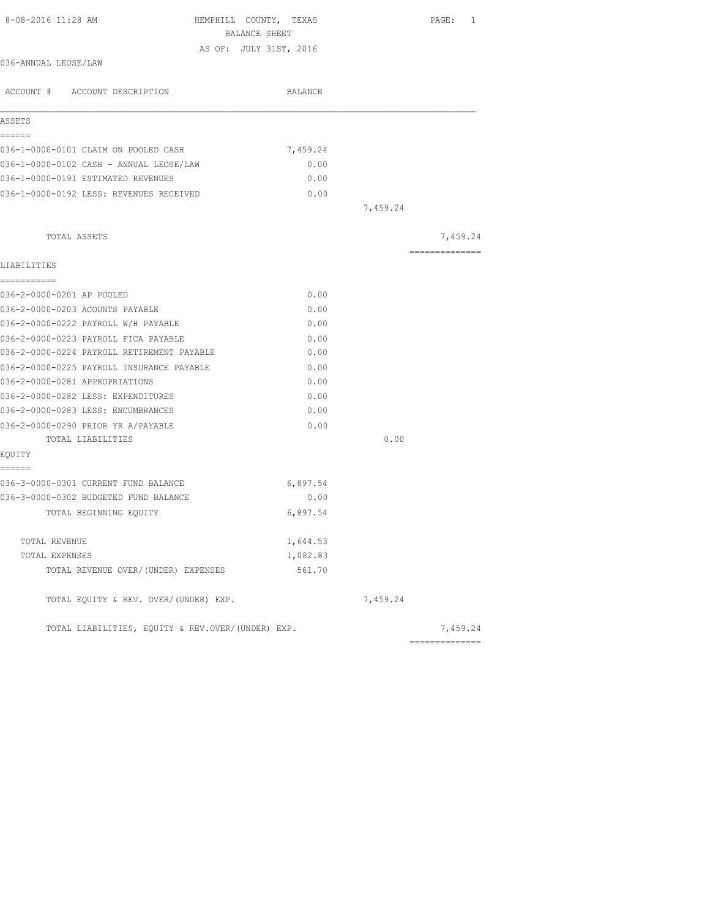| 8-08-2016 11:28 AM<br>HEMPHILL COUNTY, TEXAS      |          |          | PAGE: 1         |
|---------------------------------------------------|----------|----------|-----------------|
| BALANCE SHEET                                     |          |          |                 |
| AS OF: JULY 31ST, 2016<br>036-ANNUAL LEOSE/LAW    |          |          |                 |
|                                                   |          |          |                 |
| ACCOUNT # ACCOUNT DESCRIPTION                     | BALANCE  |          |                 |
| ASSETS                                            |          |          |                 |
| ======<br>036-1-0000-0101 CLAIM ON POOLED CASH    | 7,459.24 |          |                 |
| 036-1-0000-0102 CASH - ANNUAL LEOSE/LAW           | 0.00     |          |                 |
| 036-1-0000-0191 ESTIMATED REVENUES                | 0.00     |          |                 |
| 036-1-0000-0192 LESS: REVENUES RECEIVED           | 0.00     |          |                 |
|                                                   |          | 7,459.24 |                 |
| TOTAL ASSETS                                      |          |          | 7,459.24        |
| LIABILITIES                                       |          |          | --------------- |
| ===========                                       |          |          |                 |
| 036-2-0000-0201 AP POOLED                         | 0.00     |          |                 |
| 036-2-0000-0203 ACOUNTS PAYABLE                   | 0.00     |          |                 |
| 036-2-0000-0222 PAYROLL W/H PAYABLE               | 0.00     |          |                 |
| 036-2-0000-0223 PAYROLL FICA PAYABLE              | 0.00     |          |                 |
| 036-2-0000-0224 PAYROLL RETIREMENT PAYABLE        | 0.00     |          |                 |
| 036-2-0000-0225 PAYROLL INSURANCE PAYABLE         | 0.00     |          |                 |
| 036-2-0000-0281 APPROPRIATIONS                    | 0.00     |          |                 |
| 036-2-0000-0282 LESS: EXPENDITURES                | 0.00     |          |                 |
| 036-2-0000-0283 LESS: ENCUMBRANCES                | 0.00     |          |                 |
| 036-2-0000-0290 PRIOR YR A/PAYABLE                | 0.00     |          |                 |
| TOTAL LIABILITIES                                 |          | 0.00     |                 |
| EOUITY<br>------                                  |          |          |                 |
| 036-3-0000-0301 CURRENT FUND BALANCE              | 6,897.54 |          |                 |
| 036-3-0000-0302 BUDGETED FUND BALANCE             | 0.00     |          |                 |
| TOTAL BEGINNING EQUITY                            | 6,897.54 |          |                 |
| TOTAL REVENUE                                     | 1,644.53 |          |                 |
| TOTAL EXPENSES                                    | 1,082.83 |          |                 |
| TOTAL REVENUE OVER/(UNDER) EXPENSES               | 561.70   |          |                 |
| TOTAL EQUITY & REV. OVER/(UNDER) EXP.             |          | 7,459.24 |                 |
| TOTAL LIABILITIES, EQUITY & REV.OVER/(UNDER) EXP. |          |          | 7,459.24        |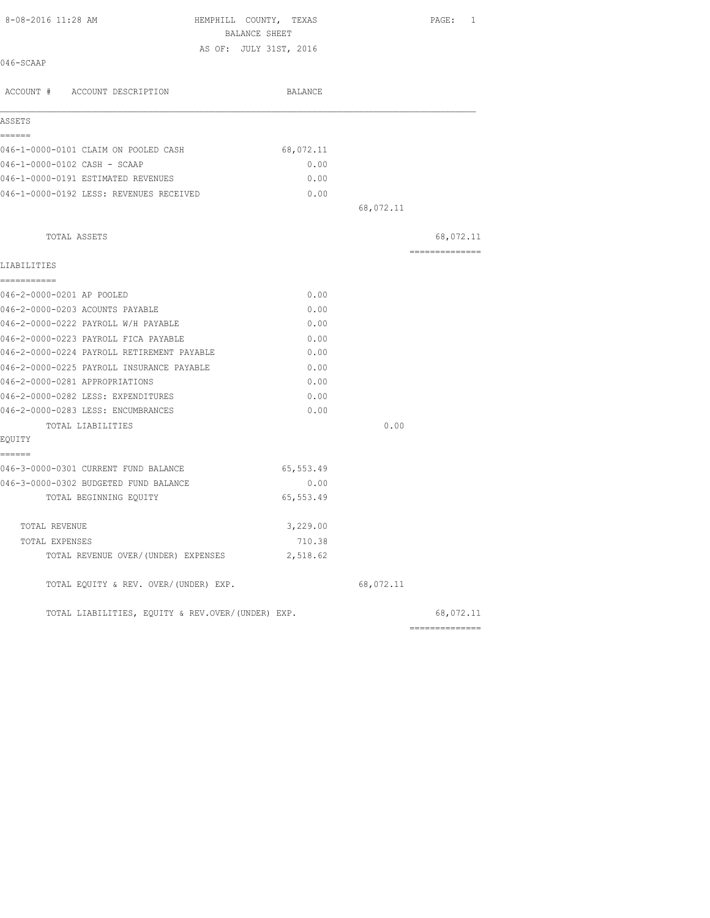| 8-08-2016 11:28 AM                                | HEMPHILL COUNTY, TEXAS<br>BALANCE SHEET |           | PAGE: 1         |
|---------------------------------------------------|-----------------------------------------|-----------|-----------------|
|                                                   | AS OF: JULY 31ST, 2016                  |           |                 |
| 046-SCAAP                                         |                                         |           |                 |
| ACCOUNT # ACCOUNT DESCRIPTION                     | BALANCE                                 |           |                 |
| ASSETS                                            |                                         |           |                 |
| ======                                            |                                         |           |                 |
| 046-1-0000-0101 CLAIM ON POOLED CASH              | 68,072.11                               |           |                 |
| 046-1-0000-0102 CASH - SCAAP                      | 0.00                                    |           |                 |
| 046-1-0000-0191 ESTIMATED REVENUES                | 0.00                                    |           |                 |
| 046-1-0000-0192 LESS: REVENUES RECEIVED           | 0.00                                    |           |                 |
|                                                   |                                         | 68,072.11 |                 |
| TOTAL ASSETS                                      |                                         |           | 68,072.11       |
| LIABILITIES                                       |                                         |           | ==============  |
| -----------                                       |                                         |           |                 |
| 046-2-0000-0201 AP POOLED                         | 0.00                                    |           |                 |
| 046-2-0000-0203 ACOUNTS PAYABLE                   | 0.00                                    |           |                 |
| 046-2-0000-0222 PAYROLL W/H PAYABLE               | 0.00                                    |           |                 |
| 046-2-0000-0223 PAYROLL FICA PAYABLE              | 0.00                                    |           |                 |
| 046-2-0000-0224 PAYROLL RETIREMENT PAYABLE        | 0.00                                    |           |                 |
| 046-2-0000-0225 PAYROLL INSURANCE PAYABLE         | 0.00                                    |           |                 |
| 046-2-0000-0281 APPROPRIATIONS                    | 0.00                                    |           |                 |
| 046-2-0000-0282 LESS: EXPENDITURES                | 0.00                                    |           |                 |
| 046-2-0000-0283 LESS: ENCUMBRANCES                | 0.00                                    |           |                 |
| TOTAL LIABILITIES                                 |                                         | 0.00      |                 |
| EQUITY<br>======                                  |                                         |           |                 |
| 046-3-0000-0301 CURRENT FUND BALANCE              | 65,553.49                               |           |                 |
| 046-3-0000-0302 BUDGETED FUND BALANCE             | 0.00                                    |           |                 |
| TOTAL BEGINNING EQUITY                            | 65, 553.49                              |           |                 |
| TOTAL REVENUE                                     | 3,229.00                                |           |                 |
| TOTAL EXPENSES                                    | 710.38                                  |           |                 |
| TOTAL REVENUE OVER/(UNDER) EXPENSES               | 2,518.62                                |           |                 |
| TOTAL EQUITY & REV. OVER/(UNDER) EXP.             |                                         | 68,072.11 |                 |
| TOTAL LIABILITIES, EOUITY & REV.OVER/(UNDER) EXP. |                                         |           | 68,072.11       |
|                                                   |                                         |           | --------------- |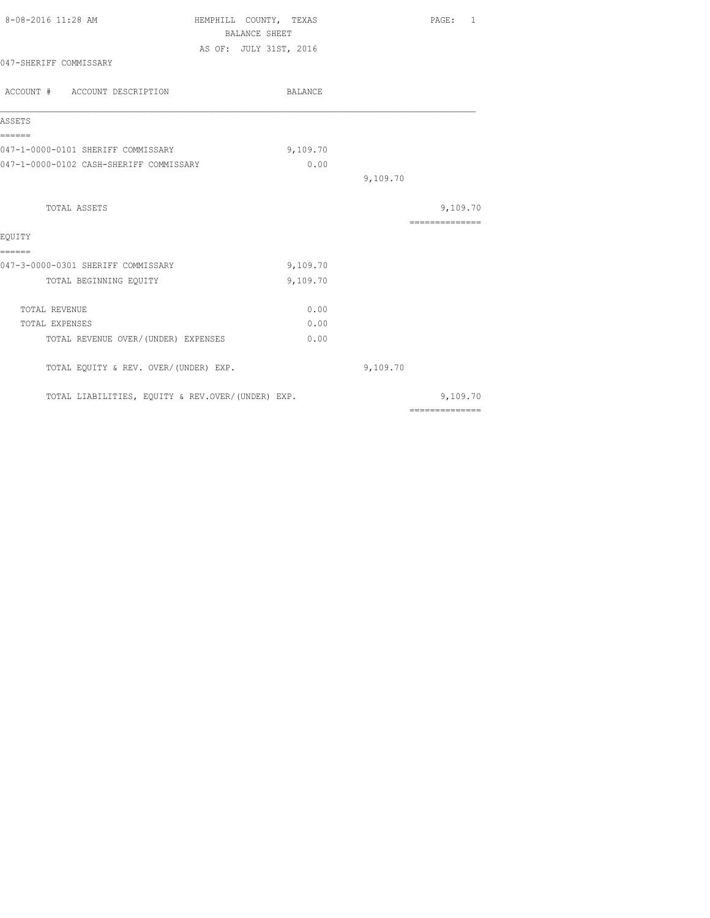| 8-08-2016 11:28 AM                                | HEMPHILL COUNTY, TEXAS                         |          | PAGE: 1                                                                                                                                                                                                                                                                                                                                                                                                                                                                                |
|---------------------------------------------------|------------------------------------------------|----------|----------------------------------------------------------------------------------------------------------------------------------------------------------------------------------------------------------------------------------------------------------------------------------------------------------------------------------------------------------------------------------------------------------------------------------------------------------------------------------------|
|                                                   | <b>BALANCE SHEET</b><br>AS OF: JULY 31ST, 2016 |          |                                                                                                                                                                                                                                                                                                                                                                                                                                                                                        |
| 047-SHERIFF COMMISSARY                            |                                                |          |                                                                                                                                                                                                                                                                                                                                                                                                                                                                                        |
| ACCOUNT # ACCOUNT DESCRIPTION                     | BALANCE                                        |          |                                                                                                                                                                                                                                                                                                                                                                                                                                                                                        |
| ASSETS                                            |                                                |          |                                                                                                                                                                                                                                                                                                                                                                                                                                                                                        |
| ======<br>047-1-0000-0101 SHERIFF COMMISSARY      | 9,109.70                                       |          |                                                                                                                                                                                                                                                                                                                                                                                                                                                                                        |
| 047-1-0000-0102 CASH-SHERIFF COMMISSARY           | 0.00                                           |          |                                                                                                                                                                                                                                                                                                                                                                                                                                                                                        |
|                                                   |                                                | 9,109.70 |                                                                                                                                                                                                                                                                                                                                                                                                                                                                                        |
| TOTAL ASSETS                                      |                                                |          | 9,109.70                                                                                                                                                                                                                                                                                                                                                                                                                                                                               |
|                                                   |                                                |          | $\begin{array}{cccccccccccccc} \multicolumn{2}{c}{} & \multicolumn{2}{c}{} & \multicolumn{2}{c}{} & \multicolumn{2}{c}{} & \multicolumn{2}{c}{} & \multicolumn{2}{c}{} & \multicolumn{2}{c}{} & \multicolumn{2}{c}{} & \multicolumn{2}{c}{} & \multicolumn{2}{c}{} & \multicolumn{2}{c}{} & \multicolumn{2}{c}{} & \multicolumn{2}{c}{} & \multicolumn{2}{c}{} & \multicolumn{2}{c}{} & \multicolumn{2}{c}{} & \multicolumn{2}{c}{} & \multicolumn{2}{c}{} & \multicolumn{2}{c}{} & \$ |
| EOUITY<br>======                                  |                                                |          |                                                                                                                                                                                                                                                                                                                                                                                                                                                                                        |
| 047-3-0000-0301 SHERIFF COMMISSARY                | 9,109.70                                       |          |                                                                                                                                                                                                                                                                                                                                                                                                                                                                                        |
| TOTAL BEGINNING EQUITY                            | 9,109.70                                       |          |                                                                                                                                                                                                                                                                                                                                                                                                                                                                                        |
| TOTAL REVENUE                                     | 0.00                                           |          |                                                                                                                                                                                                                                                                                                                                                                                                                                                                                        |
| TOTAL EXPENSES                                    | 0.00                                           |          |                                                                                                                                                                                                                                                                                                                                                                                                                                                                                        |
| TOTAL REVENUE OVER/ (UNDER) EXPENSES              | 0.00                                           |          |                                                                                                                                                                                                                                                                                                                                                                                                                                                                                        |
| TOTAL EQUITY & REV. OVER/(UNDER) EXP.             |                                                | 9,109.70 |                                                                                                                                                                                                                                                                                                                                                                                                                                                                                        |
| TOTAL LIABILITIES, EQUITY & REV.OVER/(UNDER) EXP. |                                                |          | 9,109.70                                                                                                                                                                                                                                                                                                                                                                                                                                                                               |
|                                                   |                                                |          | $\begin{array}{cccccccccccccc} \multicolumn{2}{c}{} & \multicolumn{2}{c}{} & \multicolumn{2}{c}{} & \multicolumn{2}{c}{} & \multicolumn{2}{c}{} & \multicolumn{2}{c}{} & \multicolumn{2}{c}{} & \multicolumn{2}{c}{} & \multicolumn{2}{c}{} & \multicolumn{2}{c}{} & \multicolumn{2}{c}{} & \multicolumn{2}{c}{} & \multicolumn{2}{c}{} & \multicolumn{2}{c}{} & \multicolumn{2}{c}{} & \multicolumn{2}{c}{} & \multicolumn{2}{c}{} & \multicolumn{2}{c}{} & \multicolumn{2}{c}{} & \$ |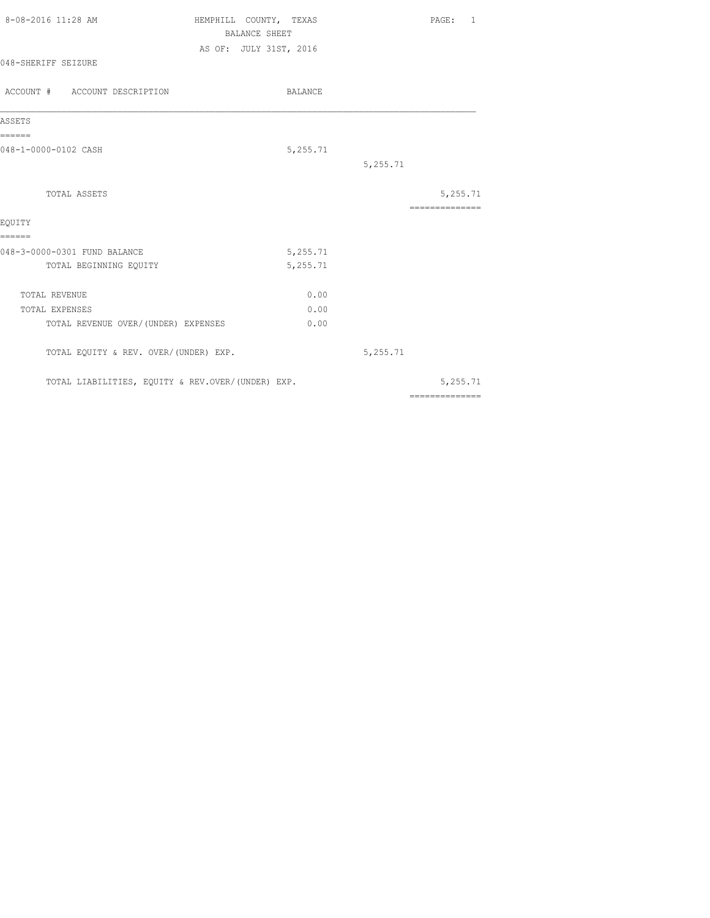| 8-08-2016 11:28 AM                                | HEMPHILL COUNTY, TEXAS | <b>BALANCE SHEET</b> |          |          | PAGE:           | 1 |
|---------------------------------------------------|------------------------|----------------------|----------|----------|-----------------|---|
|                                                   | AS OF: JULY 31ST, 2016 |                      |          |          |                 |   |
| 048-SHERIFF SEIZURE                               |                        |                      |          |          |                 |   |
| ACCOUNT # ACCOUNT DESCRIPTION                     |                        |                      | BALANCE  |          |                 |   |
| ASSETS                                            |                        |                      |          |          |                 |   |
| ======<br>048-1-0000-0102 CASH                    |                        |                      | 5,255.71 |          |                 |   |
|                                                   |                        |                      |          | 5,255.71 |                 |   |
| TOTAL ASSETS                                      |                        |                      |          |          | 5,255.71        |   |
| EOUITY                                            |                        |                      |          |          | --------------- |   |
| ======<br>048-3-0000-0301 FUND BALANCE            |                        |                      | 5,255.71 |          |                 |   |
| TOTAL BEGINNING EQUITY                            |                        |                      | 5,255.71 |          |                 |   |
| TOTAL REVENUE                                     |                        |                      | 0.00     |          |                 |   |
| TOTAL EXPENSES                                    |                        |                      | 0.00     |          |                 |   |
| TOTAL REVENUE OVER/(UNDER) EXPENSES               |                        |                      | 0.00     |          |                 |   |
| TOTAL EQUITY & REV. OVER/(UNDER) EXP.             |                        |                      |          | 5,255.71 |                 |   |
| TOTAL LIABILITIES, EQUITY & REV.OVER/(UNDER) EXP. |                        |                      |          |          | 5,255.71        |   |
|                                                   |                        |                      |          |          | ==============  |   |